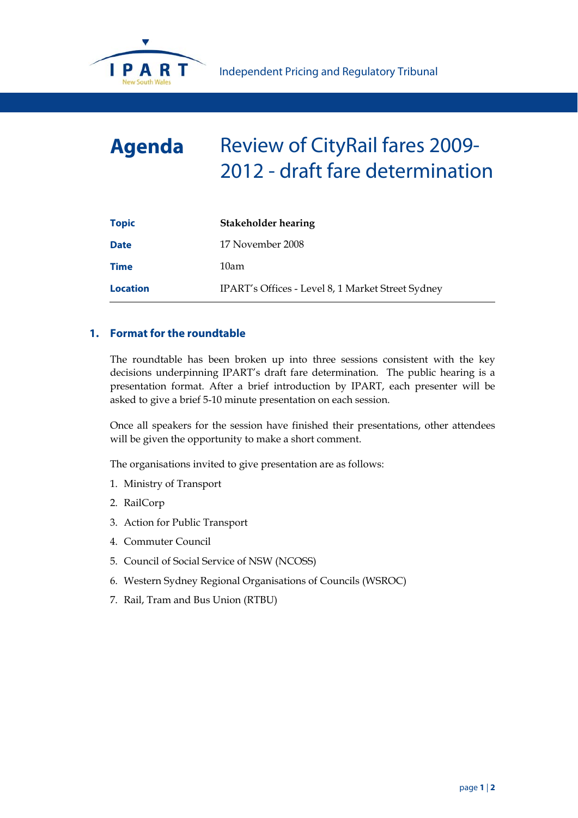

## **Agenda** Review of CityRail fares 2009- 2012 - draft fare determination

| <b>Topic</b>    | <b>Stakeholder hearing</b>                        |
|-----------------|---------------------------------------------------|
| <b>Date</b>     | 17 November 2008                                  |
| <b>Time</b>     | 10am                                              |
| <b>Location</b> | IPART's Offices - Level 8, 1 Market Street Sydney |

## **1. Format for the roundtable**

The roundtable has been broken up into three sessions consistent with the key decisions underpinning IPART's draft fare determination. The public hearing is a presentation format. After a brief introduction by IPART, each presenter will be asked to give a brief 5-10 minute presentation on each session.

Once all speakers for the session have finished their presentations, other attendees will be given the opportunity to make a short comment.

The organisations invited to give presentation are as follows:

- 1. Ministry of Transport
- 2. RailCorp
- 3. Action for Public Transport
- 4. Commuter Council
- 5. Council of Social Service of NSW (NCOSS)
- 6. Western Sydney Regional Organisations of Councils (WSROC)
- 7. Rail, Tram and Bus Union (RTBU)